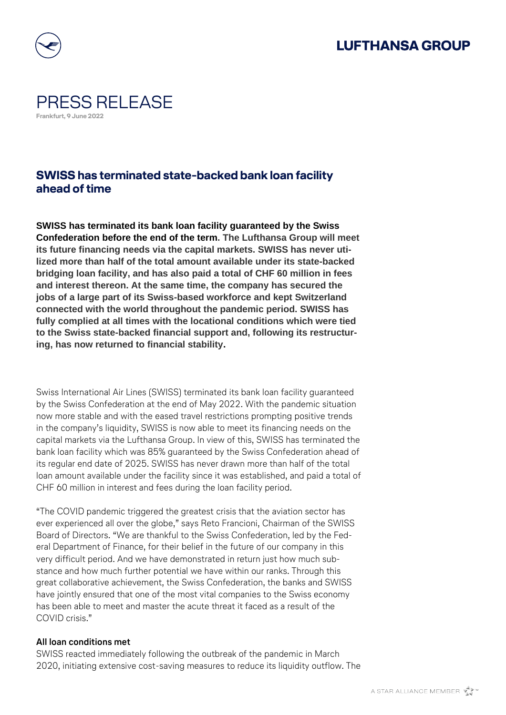## **LUFTHANSA GROUP**



## PRESS RELEASE **Frankfurt, 9 June 2022**

### **SWISS has terminated state-backed bank loan facility ahead of time**

**SWISS has terminated its bank loan facility guaranteed by the Swiss Confederation before the end of the term. The Lufthansa Group will meet its future financing needs via the capital markets. SWISS has never utilized more than half of the total amount available under its state-backed bridging loan facility, and has also paid a total of CHF 60 million in fees and interest thereon. At the same time, the company has secured the jobs of a large part of its Swiss-based workforce and kept Switzerland connected with the world throughout the pandemic period. SWISS has fully complied at all times with the locational conditions which were tied to the Swiss state-backed financial support and, following its restructuring, has now returned to financial stability.**

Swiss International Air Lines (SWISS) terminated its bank loan facility guaranteed by the Swiss Confederation at the end of May 2022. With the pandemic situation now more stable and with the eased travel restrictions prompting positive trends in the company's liquidity, SWISS is now able to meet its financing needs on the capital markets via the Lufthansa Group. In view of this, SWISS has terminated the bank loan facility which was 85% guaranteed by the Swiss Confederation ahead of its regular end date of 2025. SWISS has never drawn more than half of the total loan amount available under the facility since it was established, and paid a total of CHF 60 million in interest and fees during the loan facility period.

"The COVID pandemic triggered the greatest crisis that the aviation sector has ever experienced all over the globe," says Reto Francioni, Chairman of the SWISS Board of Directors. "We are thankful to the Swiss Confederation, led by the Federal Department of Finance, for their belief in the future of our company in this very difficult period. And we have demonstrated in return just how much substance and how much further potential we have within our ranks. Through this great collaborative achievement, the Swiss Confederation, the banks and SWISS have jointly ensured that one of the most vital companies to the Swiss economy has been able to meet and master the acute threat it faced as a result of the COVID crisis."

### **All loan conditions met**

SWISS reacted immediately following the outbreak of the pandemic in March 2020, initiating extensive cost-saving measures to reduce its liquidity outflow. The